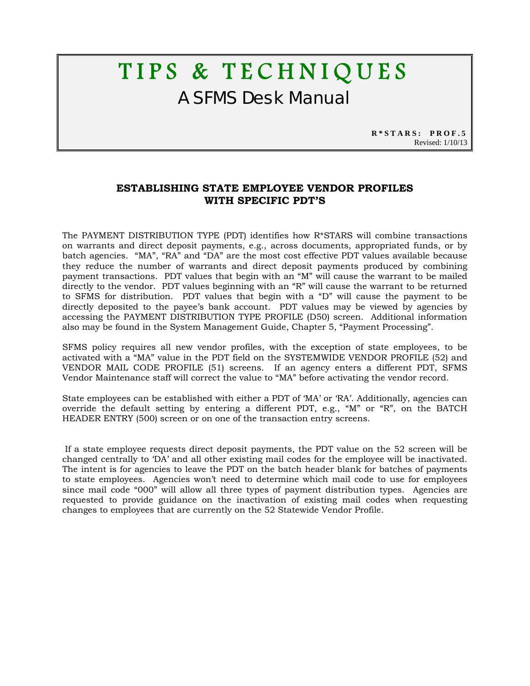## TIPS & TECHNIQUES A SFMS Desk Manual

**R\*STARS: PROF.5** Revised: 1/10/13

## **ESTABLISHING STATE EMPLOYEE VENDOR PROFILES WITH SPECIFIC PDT'S**

The PAYMENT DISTRIBUTION TYPE (PDT) identifies how R\*STARS will combine transactions on warrants and direct deposit payments, e.g., across documents, appropriated funds, or by batch agencies. "MA", "RA" and "DA" are the most cost effective PDT values available because they reduce the number of warrants and direct deposit payments produced by combining payment transactions. PDT values that begin with an "M" will cause the warrant to be mailed directly to the vendor. PDT values beginning with an "R" will cause the warrant to be returned to SFMS for distribution. PDT values that begin with a "D" will cause the payment to be directly deposited to the payee's bank account. PDT values may be viewed by agencies by accessing the PAYMENT DISTRIBUTION TYPE PROFILE (D50) screen. Additional information also may be found in the System Management Guide, Chapter 5, "Payment Processing".

SFMS policy requires all new vendor profiles, with the exception of state employees, to be activated with a "MA" value in the PDT field on the SYSTEMWIDE VENDOR PROFILE (52) and VENDOR MAIL CODE PROFILE (51) screens. If an agency enters a different PDT, SFMS Vendor Maintenance staff will correct the value to "MA" before activating the vendor record.

State employees can be established with either a PDT of 'MA' or 'RA'. Additionally, agencies can override the default setting by entering a different PDT, e.g., "M" or "R", on the BATCH HEADER ENTRY (500) screen or on one of the transaction entry screens.

 If a state employee requests direct deposit payments, the PDT value on the 52 screen will be changed centrally to 'DA' and all other existing mail codes for the employee will be inactivated. The intent is for agencies to leave the PDT on the batch header blank for batches of payments to state employees. Agencies won't need to determine which mail code to use for employees since mail code "000" will allow all three types of payment distribution types. Agencies are requested to provide guidance on the inactivation of existing mail codes when requesting changes to employees that are currently on the 52 Statewide Vendor Profile.